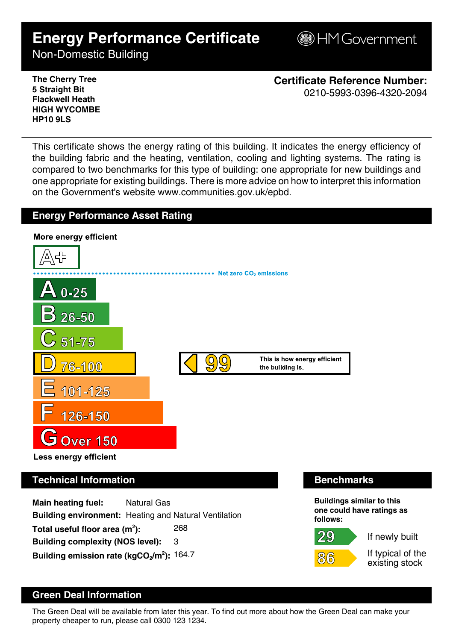# **Energy Performance Certificate**

**B**HM Government

Non-Domestic Building

**The Cherry Tree 5 Straight Bit Flackwell Heath HIGH WYCOMBE HP10 9LS**

**Certificate Reference Number:** 0210-5993-0396-4320-2094

This certificate shows the energy rating of this building. It indicates the energy efficiency of the building fabric and the heating, ventilation, cooling and lighting systems. The rating is compared to two benchmarks for this type of building: one appropriate for new buildings and one appropriate for existing buildings. There is more advice on how to interpret this information on the Government's website www.communities.gov.uk/epbd.

# **Energy Performance Asset Rating**



**Main heating fuel:** Natural Gas **Building environment:** Heating and Natural Ventilation Total useful floor area (m<sup>2</sup>): **):** 268 **Building complexity (NOS level):** 3 **Building emission rate (kgCO2/m<sup>2</sup> ):** 164.7

29

86



If newly built

If typical of the existing stock

# **Green Deal Information**

The Green Deal will be available from later this year. To find out more about how the Green Deal can make your property cheaper to run, please call 0300 123 1234.